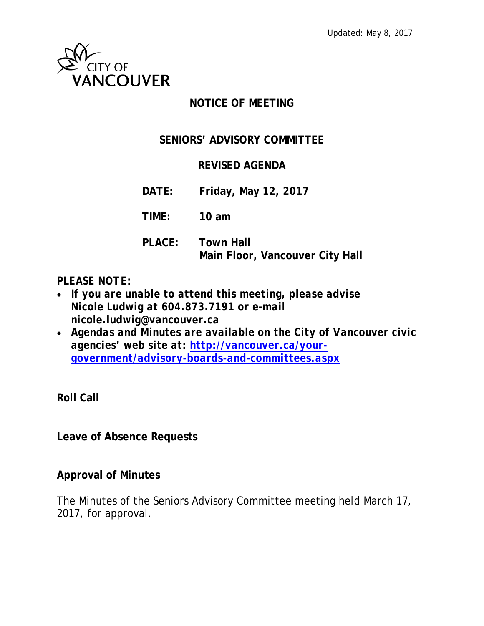

### **NOTICE OF MEETING**

### **SENIORS' ADVISORY COMMITTEE**

#### **REVISED AGENDA**

**DATE: Friday, May 12, 2017**

**TIME: 10 am**

**PLACE: Town Hall Main Floor, Vancouver City Hall**

#### *PLEASE NOTE:*

- *If you are unable to attend this meeting, please advise Nicole Ludwig at 604.873.7191 or e-mail nicole.ludwig@vancouver.ca*
- *Agendas and Minutes are available on the City of Vancouver civic agencies' web site at: [http://vancouver.ca/your](http://vancouver.ca/your-government/advisory-boards-and-committees.aspx)[government/advisory-boards-and-committees.aspx](http://vancouver.ca/your-government/advisory-boards-and-committees.aspx)*

**Roll Call**

**Leave of Absence Requests**

#### **Approval of Minutes**

The Minutes of the Seniors Advisory Committee meeting held March 17, 2017, for approval.